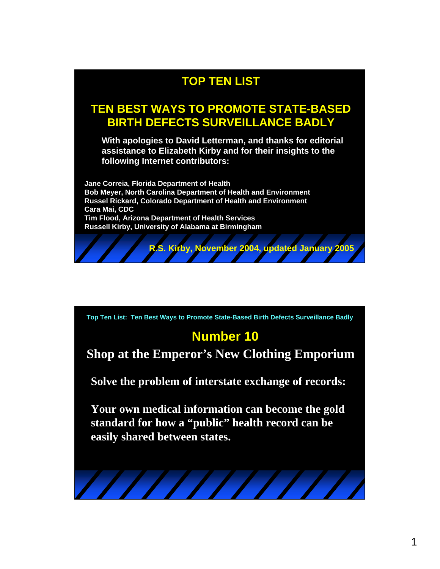# **TOP TEN LIST**

### **TEN BEST WAYS TO PROMOTE STATE-BASED BIRTH DEFECTS SURVEILLANCE BADLY**

**With apologies to David Letterman, and thanks for editorial assistance to Elizabeth Kirby and for their insights to the following Internet contributors:** 

**Jane Correia, Florida Department of Health Bob Meyer, North Carolina Department of Health and Environment Russel Rickard, Colorado Department of Health and Environment Cara Mai, CDC Tim Flood, Arizona Department of Health Services Russell Kirby, University of Alabama at Birmingham**



**Top Ten List: Ten Best Ways to Promote State-Based Birth Defects Surveillance Badly**

### **Number 10**

**Shop at the Emperor's New Clothing Emporium**

**Solve the problem of interstate exchange of records:**

**Your own medical information can become the gold standard for how a "public" health record can be easily shared between states.**

///////////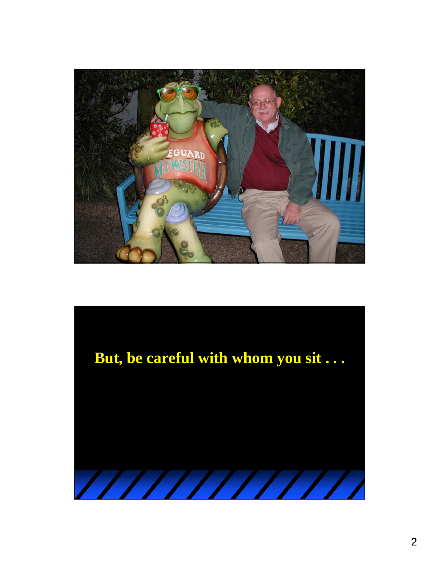

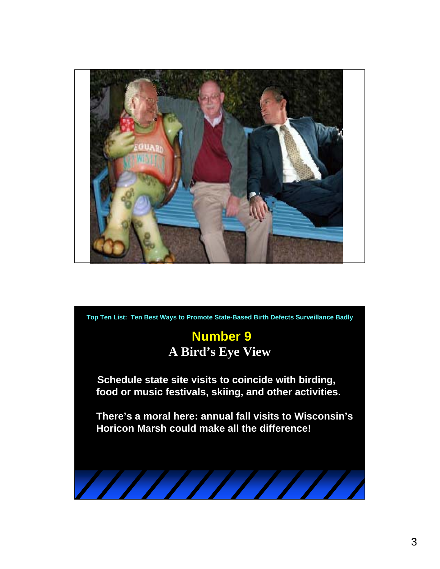

**Schedule state site visits to coincide with birding, food or music festivals, skiing, and other activities. There's a moral here: annual fall visits to Wisconsin's Horicon Marsh could make all the difference! Number 9 A Bird's Eye View**

 $\left( \frac{1}{2} \right)$ 

**Top Ten List: Ten Best Ways to Promote State-Based Birth Defects Surveillance Badly**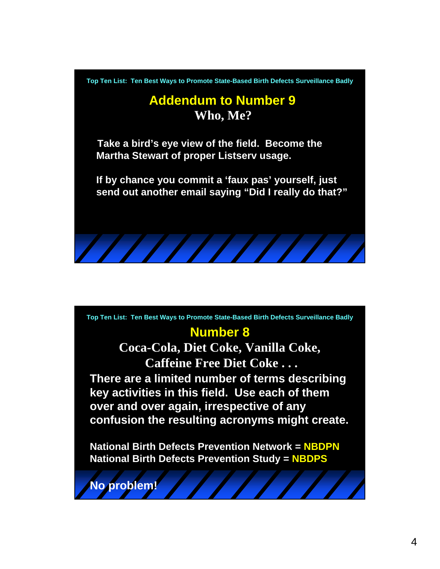

### **Addendum to Number 9 Who, Me?**

**Take a bird's eye view of the field. Become the Martha Stewart of proper Listserv usage.** 

**If by chance you commit a 'faux pas' yourself, just send out another email saying "Did I really do that?"**



#### **Number 8**

**Coca-Cola, Diet Coke, Vanilla Coke, Caffeine Free Diet Coke . . .**

**There are a limited number of terms describing key activities in this field. Use each of them over and over again, irrespective of any confusion the resulting acronyms might create.**

**National Birth Defects Prevention Network = NBDPN National Birth Defects Prevention Study = NBDPS**

**No problem!**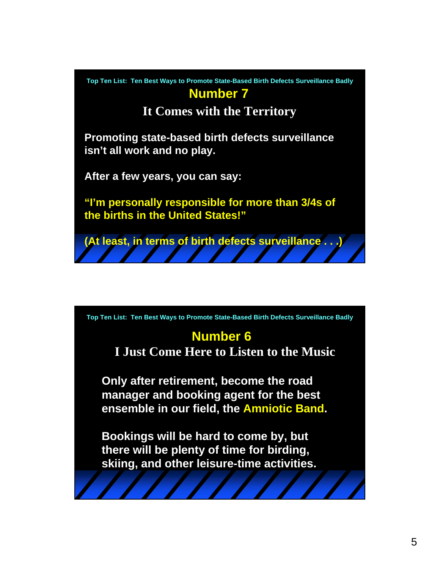

# **Number 6**

**I Just Come Here to Listen to the Music**

**Only after retirement, become the road manager and booking agent for the best ensemble in our field, the Amniotic Band.**

**Bookings will be hard to come by, but there will be plenty of time for birding, skiing, and other leisure-time activities.**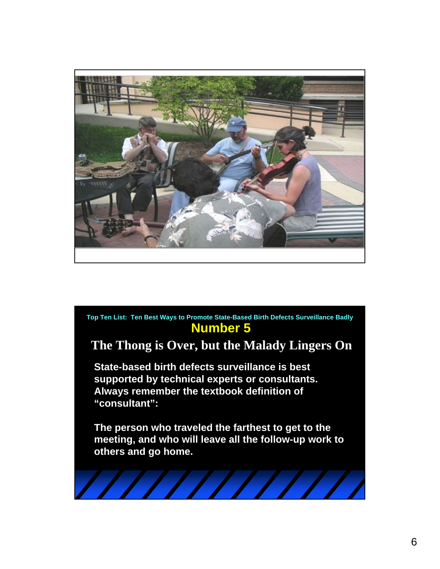

### **The Thong is Over, but the Malady Lingers On**

**State-based birth defects surveillance is best supported by technical experts or consultants. Always remember the textbook definition of "consultant":** 

**The person who traveled the farthest to get to the meeting, and who will leave all the follow-up work to others and go home.**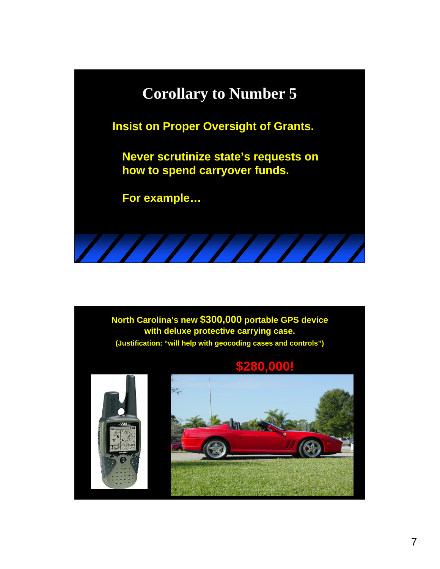

**Insist on Proper Oversight of Grants.**

**Never scrutinize state's requests on how to spend carryover funds.**

**For example…**



### **\$280,000!**



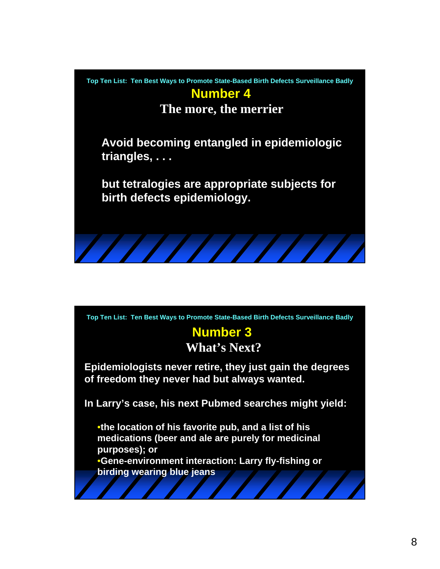

# **Number 3**

#### **What's Next?**

**Epidemiologists never retire, they just gain the degrees of freedom they never had but always wanted.**

**In Larry's case, his next Pubmed searches might yield:**

•**the location of his favorite pub, and a list of his medications (beer and ale are purely for medicinal purposes); or**

•**Gene-environment interaction: Larry fly-fishing or birding wearing blue jeans**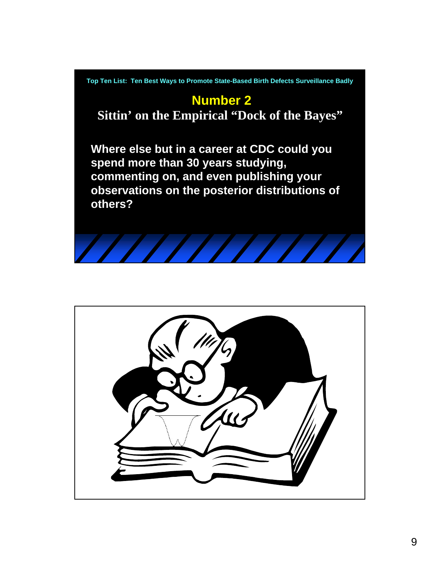# **Number 2**

**Sittin' on the Empirical "Dock of the Bayes"**

**Where else but in a career at CDC could you spend more than 30 years studying, commenting on, and even publishing your observations on the posterior distributions of others?**